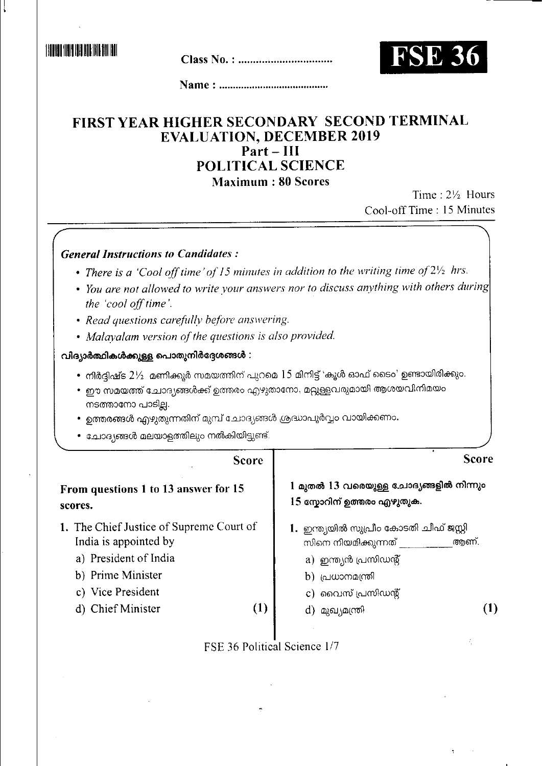**THE REAL PROPERTY OF A REAL PROPERTY** 



# FIRST YEAR HIGHER SECONDARY SECOND TERMINAL **EVALUATION, DECEMBER 2019**  $Part$ -III POLITICAL SCIENCE

**Maximum: 80 Scores** 

Time: 21/2 Hours Cool-off Time: 15 Minutes

> $\sim 10$ Ń

| <b>General Instructions to Candidates:</b>                                                                                                                                                                                                                                                              |                                                                                                                                                                            |  |  |  |  |
|---------------------------------------------------------------------------------------------------------------------------------------------------------------------------------------------------------------------------------------------------------------------------------------------------------|----------------------------------------------------------------------------------------------------------------------------------------------------------------------------|--|--|--|--|
| • There is a 'Cool off time' of 15 minutes in addition to the writing time of $2\frac{1}{2}$ hrs.                                                                                                                                                                                                       |                                                                                                                                                                            |  |  |  |  |
| the 'cool off time'.                                                                                                                                                                                                                                                                                    | • You are not allowed to write your answers nor to discuss anything with others during                                                                                     |  |  |  |  |
| • Read questions carefully before answering.                                                                                                                                                                                                                                                            |                                                                                                                                                                            |  |  |  |  |
| • Malayalam version of the questions is also provided.                                                                                                                                                                                                                                                  |                                                                                                                                                                            |  |  |  |  |
| വിദ്യാർത്ഥികൾക്കുള്ള പൊതുനിർദ്ദേശങ്ങൾ :                                                                                                                                                                                                                                                                 |                                                                                                                                                                            |  |  |  |  |
| • നിർദ്ദിഷ്ട $2\%$ മണിക്കൂർ സമയത്തിന് പുറമെ $15$ മിനിട്ട് 'കൂൾ ഓഫ് ടൈം' ഉണ്ടായിരിക്കും.<br>• ഈ സമയത്ത് ചോദ്യങ്ങൾക്ക് ഉത്തരം എഴുതാനോ, മറ്റുള്ളവരുമായി ആശയവിനിമയം<br>നടത്താനോ പാടില്ല.<br>• ഉത്തരങ്ങൾ എഴുതുന്നതിന് മുമ്പ് ചോദ്യങ്ങൾ ശ്രദ്ധാപൂർവ്വം വായിക്കണം.<br>• ചോദ്യങ്ങൾ മലയാളത്തിലും നൽകിയിട്ടുണ്ട്. |                                                                                                                                                                            |  |  |  |  |
| <b>Score</b>                                                                                                                                                                                                                                                                                            | <b>Score</b>                                                                                                                                                               |  |  |  |  |
| From questions 1 to 13 answer for 15<br>scores.                                                                                                                                                                                                                                                         | 1 മുതൽ 13 വരെയുള്ള ചോദ്യങ്ങളിൽ നിന്നും<br>15 സ്കോറിന് ഉത്തരം എഴുതുക.                                                                                                       |  |  |  |  |
| 1. The Chief Justice of Supreme Court of<br>India is appointed by<br>a) President of India<br>b) Prime Minister<br>c) Vice President<br>d) Chief Minister<br>$\left(1\right)$                                                                                                                           | 1. ഇന്ത്യയിൽ സുപ്രീം കോടതി ചീഫ് ജസ്റ്റി<br>ആണ്.<br>സിനെ നിയമിക്കുന്നത് _<br>a) ഇന്ത്യൻ പ്രസിഡന്റ്<br>b) പ്രധാനമന്ത്രി<br>c) വൈസ് പ്രസിഡന്റ്<br>$\bf(1)$<br>d) മുഖ്യമന്ത്രി |  |  |  |  |
|                                                                                                                                                                                                                                                                                                         |                                                                                                                                                                            |  |  |  |  |

FSE 36 Political Science 1/7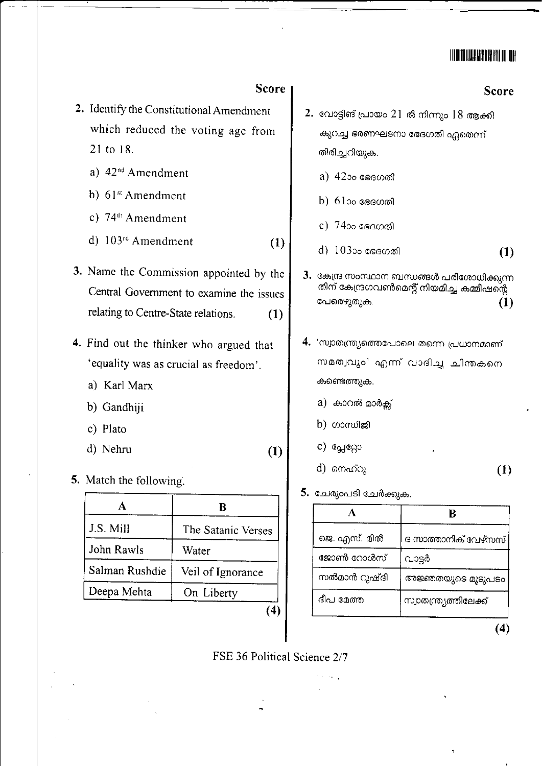# <u> Hilli ili baratan di Ir</u>

#### **Score**

- 2. Identify the Constitutional Amendment which reduced the voting age from 21 to 18.
	- a) 42<sup>nd</sup> Amendment
	- b)  $61^{st}$  Amendment
	- c)  $74<sup>th</sup>$  Amendment
	- d) 103rd Amendment  $(1)$
- 3. Name the Commission appointed by the Central Government to examine the issues relating to Centre-State relations.  $(1)$
- 4. Find out the thinker who argued that 'equality was as crucial as freedom'.
	- a) Karl Marx
	- b) Gandhiji
	- c) Plato
	- d) Nehru
- 5. Match the following.

|                | ĸ                  |  |
|----------------|--------------------|--|
| J.S. Mill      | The Satanic Verses |  |
| John Rawls     | Water              |  |
| Salman Rushdie | Veil of Ignorance  |  |
| Deepa Mehta    | On Liberty         |  |
|                |                    |  |

#### **Score**

- 2. വോട്ടിങ് പ്രായം  $21$ ൽ നിന്നും  $18$  ആക്കി കുറച്ച ഭരണഘടനാ ഭേദഗതി ഏതെന്ന് തിരിച്ചറിയുക.
	- a) 42ാം ഭേദഗതി
	- b)  $61$ ാം ഭേദഗതി
	- c)  $74$ ാം ഭേദഗതി
	- d) 10300 ഭേദഗതി  $(1)$
- 3. കേന്ദ്ര സംസ്ഥാന ബന്ധങ്ങൾ പരിശോധിക്കുന്ന തിന് കേന്ദ്രഗവൺമെന്റ് നിയമിച്ച കമ്മീഷന്റെ പേരെഴുതുക.  $(1)$
- 4. 'സ്വാതന്ത്ര്യത്തെപോലെ തന്നെ പ്രധാനമാണ് സമത്വവും' എന്ന് വാദിച്ച ചിന്തകനെ കണ്ടെത്തുക.
	- a) കാറൽ മാർക്ക്
	- $b)$  ഗാന്ധിജി
	- c) പ്ലേറ്റോ
	- d) നെഹ്റു  $(1)$
- 5. ചേരുംപടി ചേർക്കുക.

| ജെ. എസ്. മിൽ | ദ സാത്താനിക് വേഴ്സസ്   |
|--------------|------------------------|
| ജോൺ റോൾസ്    | വാട്ടർ                 |
| സൽമാൻ റുഷ്ദി | അജ്ഞതയുടെ മൂടുപടം      |
| ദീപ മേത്ത    | സ്വാതന്ത്ര്യത്തിലേക്ക് |

 $(4)$ 

FSE 36 Political Science 2/7

 $(1)$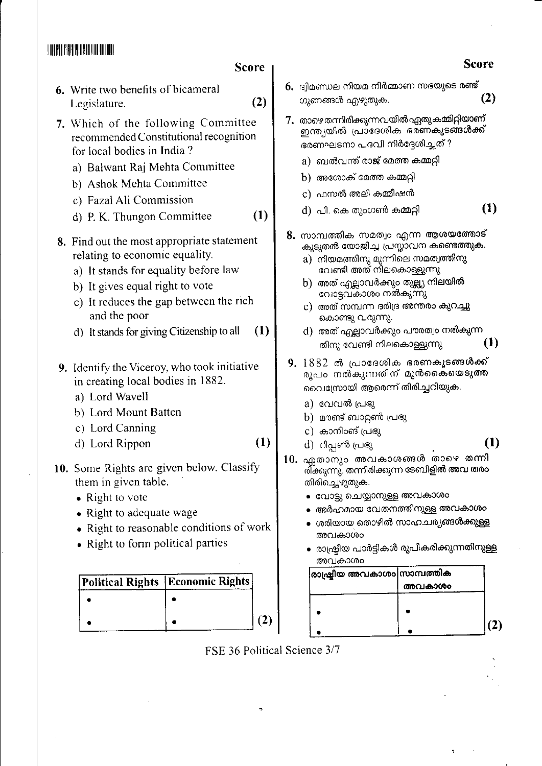## 

#### **Sco**

- 6. Write two benefits of bicameral Legislature.
- 7. Which of the following Committee recommended Constitutional recognition for local bodies in India?
	- a) Balwant Raj Mehta Committee
	- b) Ashok Mehta Committee
	- c) Fazal Ali Commission
	- d) P. K. Thungon Committee
- 8. Find out the most appropriate statement relating to economic equality.
	- a) It stands for equality before law
	- b) It gives equal right to vote
	- c) It reduces the gap between the rich and the poor
	- d) It stands for giving Citizenship to all
- 9. Identify the Viceroy, who took initiativ in creating local bodies in 1882.
	- a) Lord Wavell
	- b) Lord Mount Batten
	- c) Lord Canning
	- d) Lord Rippon
- 10. Some Rights are given below. Classif them in given table.
	- Right to vote
	- Right to adequate wage
	- Right to reasonable conditions of work
	- Right to form political parties

| Political Rights   Economic Rights |  |
|------------------------------------|--|
|                                    |  |
|                                    |  |

| re                    |    |                                                                                                                                                                                                                                                                                                                                                                     | Score    |
|-----------------------|----|---------------------------------------------------------------------------------------------------------------------------------------------------------------------------------------------------------------------------------------------------------------------------------------------------------------------------------------------------------------------|----------|
| (2)                   |    | 6. ദ്വിമണ്ഡല നിയമ നിർമ്മാണ സഭയുടെ രണ്ട്<br>ഗുണങ്ങൾ എഴുതുക.                                                                                                                                                                                                                                                                                                          | (2)      |
|                       |    | 7. താഴെതന്നിരിക്കുന്നവയിൽഫ്പുതുകുമ്മിറ്റിയാണ്<br>ഇന്ത്യയിൽ പ്രാദേശിക ഭരണകൂട <b>ങ്ങൾക്ക്</b><br>ഭരണഘടനാ പദവി നിർദ്ദേശിച്ചത് ?                                                                                                                                                                                                                                        |          |
|                       |    | a) ബൽവന്ത് രാജ് മേത്ത കമ്മറ്റി                                                                                                                                                                                                                                                                                                                                      |          |
|                       |    | അശോക് മേത്ത കമ്മറ്റി<br>b)                                                                                                                                                                                                                                                                                                                                          |          |
|                       |    | c) ഫസൽ അലി കമ്മീഷൻ                                                                                                                                                                                                                                                                                                                                                  |          |
| (1)                   |    | d)  പി. കെ തുംഗൺ കമ്മറ്റി                                                                                                                                                                                                                                                                                                                                           | (1)      |
| t<br>$\left(1\right)$ |    | 8. സാമ്പത്തിക സമത്വം എന്ന ആശയത്തോട്<br>കൂടുതൽ യോജിച്ച പ്രസ്താവന കണ്ടെത്തു <b>ക</b> .<br>a)  നിയമത്തിനു മുന്നിലെ സ <mark>മത്വത്തിനു</mark><br>വേണ്ടി അത് നിലകൊള്ളുന്നു<br>b)  അത് എല്ലാവർക്കും തുല്ല്യ നിലയിൽ<br>വോട്ടവകാശം നൽകുന്നു<br>c) അത് സമ്പന്ന ദരിദ്ര അന്തരം കുറച്ചു<br>കൊണ്ടു വരുന്നു.<br>d)  അത് എല്ലാവർക്കും പൗരത്വം നൽകുന്ന<br>തിനു വേണ്ടി നിലകൊള്ളുന്നു | (1)      |
| e                     | 9. | 1882 ൽ പ്രാദേശിക ഭരണകൂടങ്ങൾക്ക്<br>രൂപം നൽകുന്നതിന് മുൻകൈയെടു <b>ത്ത</b><br>വൈസ്രോയി ആരെന്ന് തിരിച്ചറിയുക.                                                                                                                                                                                                                                                          |          |
| (1)<br>y              |    | a) വേവൽ പ്രഭു<br>b) മൗണ്ട് ബാറ്റൺ പ്രഭു<br>c) കാനിംങ് പ്രഭു<br>d) റിപ്പൺ പ്രഭു<br>10. ഏതാനും അവകാശങ്ങൾ താഴെ തന്നി<br>രി്ക്കുന്നു്. തന്നിരിക്കുന്ന ടേബിളിൽ അവ ത <b>രം</b><br>തിരിച്ചെഴുതുക.<br>വോട്ടു ചെയ്യാനുള്ള അവകാശം<br>അർഹമായ വേതനത്തിനുള്ള അവകാശം                                                                                                              | $\bf(1)$ |

- ശരിയായ തൊഴിൽ സാഹചര്യങ്ങൾക്കുള്ള അവകാശം
- രാഷ്ട്രീയ പാർട്ടികൾ രൂപീകരിക്കുന്നതിനുള്ള അവകാശം

| രാഷ്ട്രീയ അവകാശം സാമ്പത്തിക |  |
|-----------------------------|--|
| അവകാശം                      |  |
|                             |  |
|                             |  |
|                             |  |
|                             |  |

FSE 36 Political Science 3/7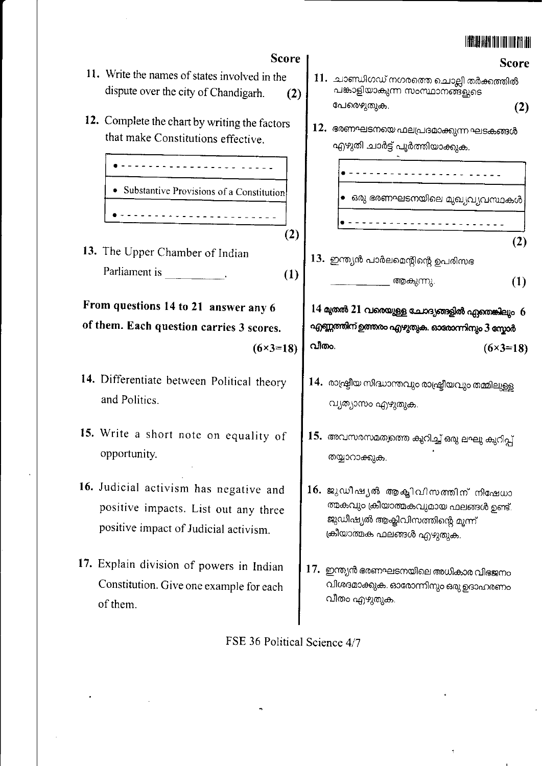## <u> Eriya ah du du du du du</u>



- ത്മകവും ക്രീയാത്മകവുമായ ഫലങ്ങൾ ഉണ്ട്. ജുഡീഷ്യൽ ആക്ലിവിസത്തിന്റെ മുന്ന് ക്രീയാത്മക ഫലങ്ങൾ എഴുതുക.
	- 17. ഇന്ത്യൻ ഭരണഘടനയിലെ അധികാര വിഭജനം വിശദമാക്കുക. ഓരോന്നിനും ഒരു ഉദാഹരണം വീതം എഴുതുക.

FSE 36 Political Science 4/7

- 11. Write the names of states involved in the dispute over the city of Chandigarh.
- 12. Complete the chart by writing the factors that make Constitutions effective.

<u> - - - - - - - - - - - - - - -</u> • Substantive Provisions of a Constitution

13. The Upper Chamber of Indian Parliament is Fig.

From questions 14 to 21 answer any 6 of them. Each question carries 3 scores.

- 14. Differentiate between Political theory and Politics.
- 15. Write a short note on equality of opportunity.
- 16. Judicial activism has negative and positive impacts. List out any three positive impact of Judicial activism.
- 17. Explain division of powers in Indian Constitution. Give one example for each of them.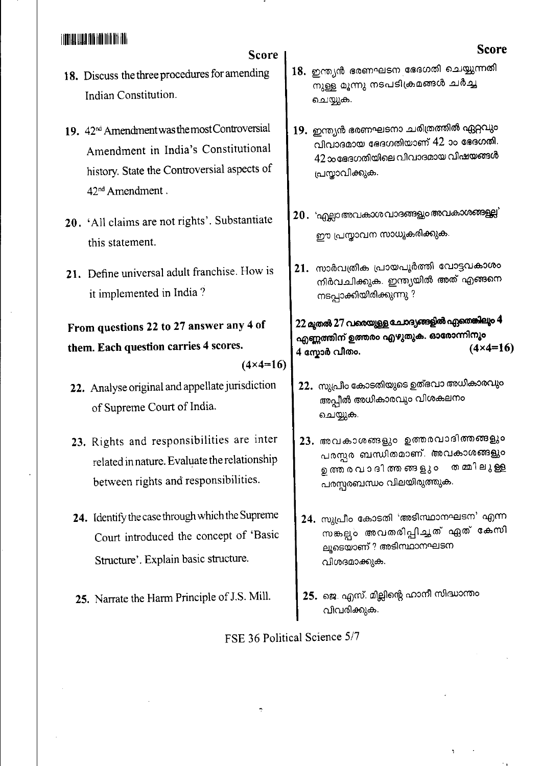# <u> A TITALI QULI TII BITI DII TII TII </u>

# **Score**

- 18. Discuss the three procedures for amending Indian Constitution.
- 19. 42<sup>nd</sup> Amendment was the most Controversial Amendment in India's Constitutional history. State the Controversial aspects of 42<sup>nd</sup> Amendment.
- 20. 'All claims are not rights'. Substantiate this statement.
- 21. Define universal adult franchise. How is it implemented in India?

From questions 22 to 27 answer any 4 of them. Each question carries 4 scores.

### $(4 \times 4 = 16)$

- 22. Analyse original and appellate jurisdiction of Supreme Court of India.
- 23. Rights and responsibilities are inter related in nature. Evaluate the relationship between rights and responsibilities.
- 24. Identify the case through which the Supreme Court introduced the concept of 'Basic Structure'. Explain basic structure.
- 25. Narrate the Harm Principle of J.S. Mill.

# 18. ഇന്ത്യൻ ഭരണഘടന ഭേദഗതി ചെയ്യുന്നതി നുള്ള മൂന്നു നടപടിക്രമങ്ങൾ ചർച്ച ചെയ്യുക.

- 19. ഇന്ത്യൻ ഭരണഘടനാ ചരിത്രത്തിൽ ഏറ്റവും വിവാദമായ ഭേദഗതിയാണ് 42 ാം ഭേദഗതി. 42 ാഭേദഗതിയിലെ വിവാദമായ വിഷയങ്ങൾ പ്രസ്താവിക്കുക.
- 20. 'എല്ലാ അവകാശ വാദങ്ങളും അവകാശങ്ങളല്ല' ഈ പ്രസ്താവന സാധൂകരിക്കുക.
- 21. സാർവത്രിക പ്രായപൂർത്തി വോട്ടവകാശം നിർവചിക്കുക. ഇന്ത്യയിൽ അത് എങ്ങനെ നടപ്പാക്കിയിരിക്കുന്നു ?

#### 22 മുതൽ 27 വരെയുള്ള ചേറദ്യങ്ങളിൽ ഏതെങ്കിലും 4 എണ്ണത്തിന് ഉത്തരം എഴുതുക. ഓരോന്നിനൂം  $(4 \times 4 = 16)$ 4 സ്കോർ വീതം.

- 22. സുപ്രീം കോടതിയുടെ ഉത്ഭവാ അധികാരവും അപ്പീൽ അധികാരവും വിശകലനം ചെയ്യുക.
- 23. അവകാശങ്ങളും ഉത്തരവാദിത്തങ്ങളും പരസ്പര ബന്ധിതമാണ്. അവകാശങ്ങളും ഉത്ത ര വ ാ ദി ത്ത ങ്ങ ളു ം തമ്മിലുള്ള പരസ്പരബന്ധം വിലയിരുത്തുക.
- 24. സുപ്രീം കോടതി 'അടിസ്ഥാനഘടന' എന്ന സങ്കല്പം അവതരിപ്പിച്ചത് ഏത് കേസി ലൂടെയാണ് ? അടിസ്ഥാനഘടന വിശദമാക്കുക.
- 25. ജെ. എസ്. മില്ലിന്റെ ഹാനീ സിദ്ധാന്തം വിവരിക്കുക.

FSE 36 Political Science 5/7

## **Score**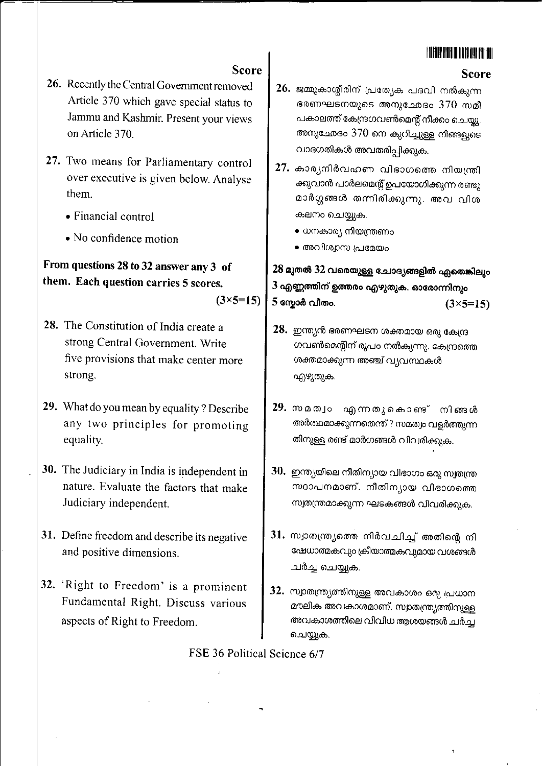# <u>Hiidhiidhaa mid</u>

**Score** 

# **Score**

- 26. Recently the Central Government removed Article 370 which gave special status to Jammu and Kashmir. Present your views on Article 370.
- 27. Two means for Parliamentary control over executive is given below. Analyse them.
	- Financial control
	- No confidence motion

# From questions 28 to 32 answer any 3 of them. Each question carries 5 scores.

 $(3 \times 5 = 15)$ 

- 28. The Constitution of India create a strong Central Government. Write five provisions that make center more strong.
- 29. What do you mean by equality? Describe any two principles for promoting equality.
- 30. The Judiciary in India is independent in nature. Evaluate the factors that make Judiciary independent.
- 31. Define freedom and describe its negative and positive dimensions.
- 32. 'Right to Freedom' is a prominent Fundamental Right. Discuss various aspects of Right to Freedom.
- 26. ജമ്മുകാശ്മീരിന് പ്രത്യേക പദവി നൽകുന്ന ഭരണഘടനയുടെ അനുഛേദം 370 സമീ പകാലത്ത് കേന്ദ്രഗവൺമെന്റ് നീക്കം ചെയ്യു. അനുഛേദം 370 നെ കുറിച്ചുള്ള നിങ്ങളുടെ വാദഗതികൾ അവതരിപ്പിക്കുക.
- $27.$  കാര്യനിർവഹണ വിഭാഗത്തെ നിയന്ത്രി ക്കുവാൻ പാർലമെന്റ് ഉപയോഗിക്കുന്ന രണ്ടു മാർഗ്ഗങ്ങൾ തന്നിരിക്കുന്നു. അവ വിശ കലനം ചെയ്യുക.
	- ധനകാര്യ നിയന്ത്രണം
	- അവിശ്വസ പ്രമേയം

28 മുതൽ 32 വരെയുള്ള ചോദ്യങ്ങളിൽ ഏതെങ്കിലും 3 എണ്ണത്തിന് ഉത്തരം എഴുതുക. ഓരോന്നിനും 5 സ്കോർ വിതം.  $(3 \times 5 = 15)$ 

- $28.$  ഇന്ത്യൻ ഭരണഘടന ശക്തമായ ഒരു കേന്ദ്ര ഗവൺമെന്റിന് രൂപം നൽകുന്നു. കേന്ദ്രത്തെ ശക്തമാക്കുന്ന അഞ്ച് വ്യവസ്ഥകൾ എഴുതുക.
- 29. സമത്വം എന്നതുകൊണ്ട് നിങ്ങൾ അർത്ഥമാക്കുന്നതെന്ത് ? സമത്വം വളർത്തുന്ന തിനുള്ള രണ്ട് മാർഗങ്ങൾ വിവരിക്കുക.
- 30. ഇന്ത്യയിലെ നീതിന്യായ വിഭാഗം ഒരു സ്വതന്ത്ര സ്ഥാപനമാണ്. നീതിന്യായ വിഭാഗത്തെ സ്വതന്ത്രമാക്കുന്ന ഘടകങ്ങൾ വിവരിക്കുക.
- 31. സ്വാതന്ത്ര്യത്തെ നിർവചിച്ച് അതിന്റെ നി ഷേധാത്മകവും ക്രീയാത്മകവുമായ വശങ്ങൾ ചർച്ച ചെയ്യുക.
- 32. സ്വാതന്ത്ര്യത്തിനുള്ള അവകാശം ഒരു പ്രധാന മൗലിക അവകാശമാണ്. സ്വാതന്ത്ര്യത്തിനുള്ള അവകാശത്തിലെ വിവിധ ആശയങ്ങൾ ചർച്ച ചെയ്യുക.

FSE 36 Political Science 6/7